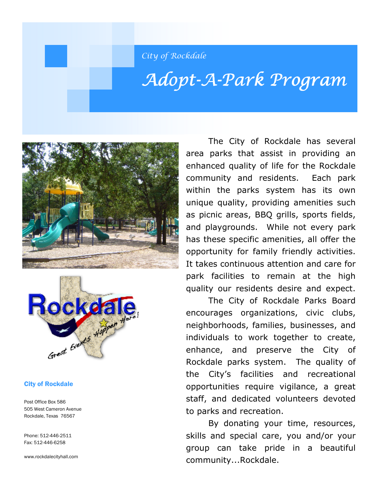City of Rockdale

# Adopt-A-Park Program





#### City of Rockdale

Post Office Box 586 505 West Cameron Avenue Rockdale, Texas 76567

Phone: 512-446-2511 Fax: 512-446-6258

www.rockdalecityhall.com

 The City of Rockdale has several area parks that assist in providing an enhanced quality of life for the Rockdale community and residents. Each park within the parks system has its own unique quality, providing amenities such as picnic areas, BBQ grills, sports fields, and playgrounds. While not every park has these specific amenities, all offer the opportunity for family friendly activities. It takes continuous attention and care for park facilities to remain at the high quality our residents desire and expect.

 The City of Rockdale Parks Board encourages organizations, civic clubs, neighborhoods, families, businesses, and individuals to work together to create, enhance, and preserve the City of Rockdale parks system. The quality of the City's facilities and recreational opportunities require vigilance, a great staff, and dedicated volunteers devoted to parks and recreation.

 By donating your time, resources, skills and special care, you and/or your group can take pride in a beautiful community...Rockdale.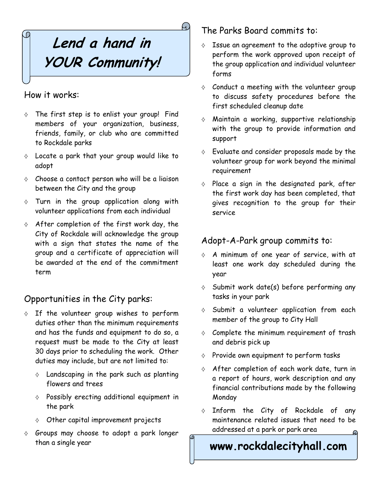# **Lend a hand in YOUR Community!**

#### How it works:

- $\diamond$  The first step is to enlist your group! Find members of your organization, business, friends, family, or club who are committed to Rockdale parks
- $\diamond$  Locate a park that your group would like to adopt
- $\diamond$  Choose a contact person who will be a liaison between the City and the group
- $\diamond$  Turn in the group application along with volunteer applications from each individual
- $\Diamond$  After completion of the first work day, the City of Rockdale will acknowledge the group with a sign that states the name of the group and a certificate of appreciation will be awarded at the end of the commitment term

## Opportunities in the City parks:

- $\diamond$  If the volunteer group wishes to perform duties other than the minimum requirements and has the funds and equipment to do so, a request must be made to the City at least 30 days prior to scheduling the work. Other duties may include, but are not limited to:
	- $\diamond$  Landscaping in the park such as planting flowers and trees
	- $\diamond$  Possibly erecting additional equipment in the park
	- $\Diamond$  Other capital improvement projects
- $\diamond$  Groups may choose to adopt a park longer than a single year

### The Parks Board commits to:

- $\Diamond$  Issue an agreement to the adoptive group to perform the work approved upon receipt of the group application and individual volunteer forms
- $\diamond$  Conduct a meeting with the volunteer group to discuss safety procedures before the first scheduled cleanup date
- ⟡ Maintain a working, supportive relationship with the group to provide information and support
- $\diamond$  Evaluate and consider proposals made by the volunteer group for work beyond the minimal requirement
- $\diamond$  Place a sign in the designated park, after the first work day has been completed, that gives recognition to the group for their service

### Adopt-A-Park group commits to:

- $\Diamond$  A minimum of one year of service, with at least one work day scheduled during the year
- $\Diamond$  Submit work date(s) before performing any tasks in your park
- $\diamond$  Submit a volunteer application from each member of the group to City Hall
- $\diamond$  Complete the minimum requirement of trash and debris pick up
- $\diamond$  Provide own equipment to perform tasks
- $\Diamond$  After completion of each work date, turn in a report of hours, work description and any financial contributions made by the following Monday
- $\diamond$  Inform the City of Rockdale of any maintenance related issues that need to be addressed at a park or park area

## **www.rockdalecityhall.com**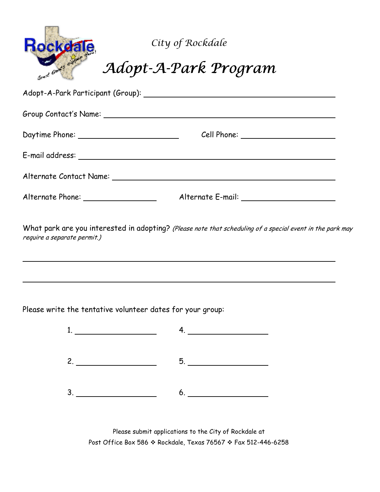| <b>Rockeale</b>                   | City of Rockdale<br>Adopt-A-Park Program |  |
|-----------------------------------|------------------------------------------|--|
| Adopt-A-Park Participant (Group): |                                          |  |
| Group Contact's Name:             |                                          |  |
| Daytime Phone:                    | Cell Phone:                              |  |

E-mail address: Alternate Contact Name: Alternate Phone: Alternate E-mail:

What park are you interested in adopting? (Please note that scheduling of a special event in the park may require a separate permit.)

Please write the tentative volunteer dates for your group:

 $\ddot{\phantom{a}}$ 

 $\ddot{\phantom{a}}$ 

| the contract of the contract of the | $\frac{1}{2}$ and $\frac{1}{2}$ and $\frac{1}{2}$ and $\frac{1}{2}$ and $\frac{1}{2}$ and $\frac{1}{2}$ and $\frac{1}{2}$ and $\frac{1}{2}$ and $\frac{1}{2}$ and $\frac{1}{2}$ and $\frac{1}{2}$ and $\frac{1}{2}$ and $\frac{1}{2}$ and $\frac{1}{2}$ and $\frac{1}{2}$ and $\frac{1}{2}$ a |
|-------------------------------------|-----------------------------------------------------------------------------------------------------------------------------------------------------------------------------------------------------------------------------------------------------------------------------------------------|
|                                     |                                                                                                                                                                                                                                                                                               |
|                                     |                                                                                                                                                                                                                                                                                               |

Please submit applications to the City of Rockdale at Post Office Box 586 \* Rockdale, Texas 76567 \* Fax 512-446-6258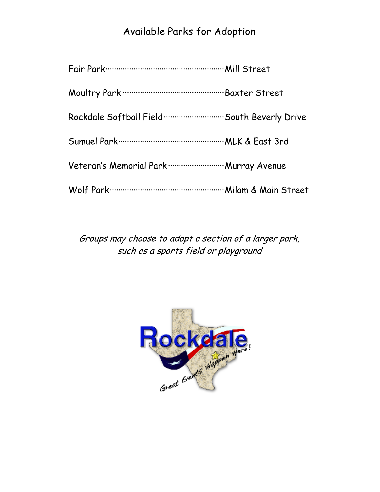## Available Parks for Adoption

| Rockdale Softball Field  South Beverly Drive |  |
|----------------------------------------------|--|
|                                              |  |
| Veteran's Memorial Park  Murray Avenue       |  |
|                                              |  |

Groups may choose to adopt a section of a larger park, such as a sports field or playground

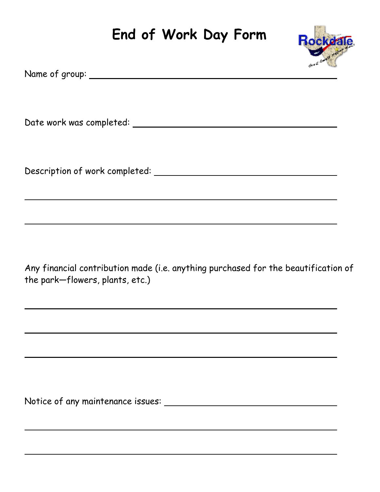## **End of Work Day Form**



Any financial contribution made (i.e. anything purchased for the beautification of the park—flowers, plants, etc.)

Notice of any maintenance issues:

 $\ddot{\phantom{a}}$ 

 $\ddot{\phantom{a}}$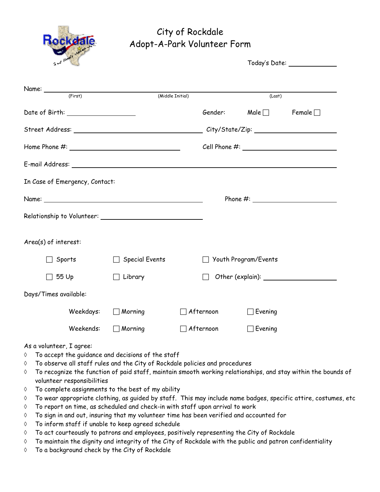

## City of Rockdale Adopt-A-Park Volunteer Form

| $\sim$ $\sim$ $\sim$               |                       |                     | Today's Date: _______________ |               |  |
|------------------------------------|-----------------------|---------------------|-------------------------------|---------------|--|
| Name: <u>(First)</u>               |                       |                     |                               |               |  |
|                                    |                       | (Middle Initial)    | (Last)                        |               |  |
| Date of Birth: ___________________ |                       |                     | Male $\Box$<br>Gender:        | Female $\Box$ |  |
|                                    |                       |                     |                               |               |  |
|                                    |                       |                     |                               |               |  |
|                                    |                       |                     |                               |               |  |
| In Case of Emergency, Contact:     |                       |                     |                               |               |  |
|                                    |                       |                     |                               |               |  |
|                                    |                       |                     |                               |               |  |
| Area(s) of interest:               |                       |                     |                               |               |  |
| Sports                             | $\Box$ Special Events |                     | Youth Program/Events          |               |  |
| $\Box$ 55 Up                       | Library               | $\vert \ \ \vert$   |                               |               |  |
| Days/Times available:              |                       |                     |                               |               |  |
| Weekdays:                          | $\Box$ Morning        | ] Afternoon         | ∃Evening                      |               |  |
| Weekends:                          | $\Box$ Morning        | $\exists$ Afternoon | Evening                       |               |  |

#### As a volunteer, I agree:

- ◊ To accept the guidance and decisions of the staff
- ◊ To observe all staff rules and the City of Rockdale policies and procedures
- ◊ To recognize the function of paid staff, maintain smooth working relationships, and stay within the bounds of volunteer responsibilities
- ◊ To complete assignments to the best of my ability
- ◊ To wear appropriate clothing, as guided by staff. This may include name badges, specific attire, costumes, etc
- ◊ To report on time, as scheduled and check-in with staff upon arrival to work
- ◊ To sign in and out, insuring that my volunteer time has been verified and accounted for
- ◊ To inform staff if unable to keep agreed schedule
- ◊ To act courteously to patrons and employees, positively representing the City of Rockdale
- ◊ To maintain the dignity and integrity of the City of Rockdale with the public and patron confidentiality
- ◊ To a background check by the City of Rockdale